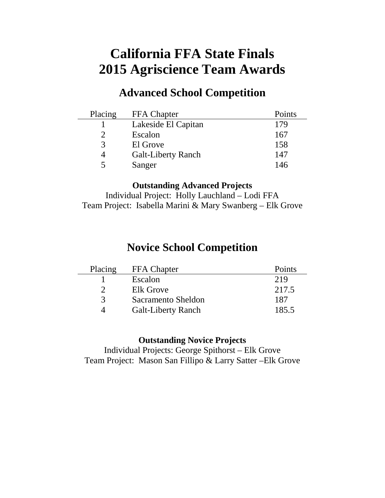# **California FFA State Finals 2015 Agriscience Team Awards**

# **Advanced School Competition**

| Placing     | <b>FFA</b> Chapter        | Points |
|-------------|---------------------------|--------|
|             | Lakeside El Capitan       | 179    |
|             | Escalon                   | 167    |
| $\mathbf 3$ | El Grove                  | 158    |
| 4           | <b>Galt-Liberty Ranch</b> | 147    |
|             | Sanger                    | 146    |

#### **Outstanding Advanced Projects**

Individual Project: Holly Lauchland – Lodi FFA Team Project: Isabella Marini & Mary Swanberg – Elk Grove

# **Novice School Competition**

| Placing       | <b>FFA</b> Chapter        | Points |
|---------------|---------------------------|--------|
|               | Escalon                   | 219    |
|               | Elk Grove                 | 217.5  |
| $\mathcal{R}$ | Sacramento Sheldon        | 187    |
|               | <b>Galt-Liberty Ranch</b> | 185.5  |

#### **Outstanding Novice Projects**

Individual Projects: George Spithorst – Elk Grove Team Project: Mason San Fillipo & Larry Satter –Elk Grove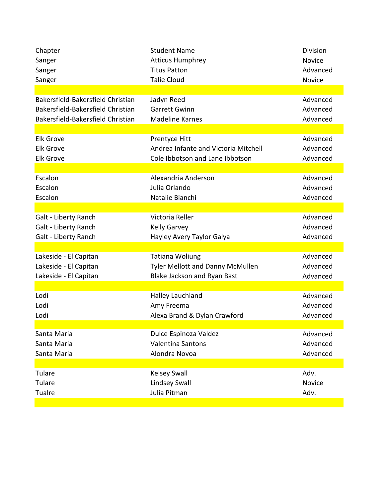| Chapter                           | <b>Student Name</b>                     | <b>Division</b> |
|-----------------------------------|-----------------------------------------|-----------------|
| Sanger                            | <b>Atticus Humphrey</b>                 | Novice          |
| Sanger                            | <b>Titus Patton</b>                     | Advanced        |
| Sanger                            | <b>Talie Cloud</b>                      | Novice          |
|                                   |                                         |                 |
| Bakersfield-Bakersfield Christian | Jadyn Reed                              | Advanced        |
| Bakersfield-Bakersfield Christian | <b>Garrett Gwinn</b>                    | Advanced        |
| Bakersfield-Bakersfield Christian | <b>Madeline Karnes</b>                  | Advanced        |
|                                   |                                         |                 |
| <b>Elk Grove</b>                  | Prentyce Hitt                           | Advanced        |
| <b>Elk Grove</b>                  | Andrea Infante and Victoria Mitchell    | Advanced        |
| <b>Elk Grove</b>                  | Cole Ibbotson and Lane Ibbotson         | Advanced        |
|                                   |                                         |                 |
| Escalon                           | Alexandria Anderson                     | Advanced        |
| Escalon                           | Julia Orlando                           | Advanced        |
| Escalon                           | Natalie Bianchi                         | Advanced        |
|                                   |                                         |                 |
| Galt - Liberty Ranch              | Victoria Reller                         | Advanced        |
| Galt - Liberty Ranch              | <b>Kelly Garvey</b>                     | Advanced        |
| Galt - Liberty Ranch              | Hayley Avery Taylor Galya               | Advanced        |
|                                   |                                         |                 |
| Lakeside - El Capitan             | <b>Tatiana Woliung</b>                  | Advanced        |
| Lakeside - El Capitan             | <b>Tyler Mellott and Danny McMullen</b> | Advanced        |
| Lakeside - El Capitan             | Blake Jackson and Ryan Bast             | Advanced        |
|                                   |                                         |                 |
| Lodi                              | Halley Lauchland                        | Advanced        |
| Lodi                              | Amy Freema                              | Advanced        |
| Lodi                              | Alexa Brand & Dylan Crawford            | Advanced        |
|                                   |                                         |                 |
| Santa Maria                       | Dulce Espinoza Valdez                   | Advanced        |
| Santa Maria                       | <b>Valentina Santons</b>                | Advanced        |
| Santa Maria                       | Alondra Novoa                           | Advanced        |
|                                   |                                         |                 |
| Tulare                            | <b>Kelsey Swall</b>                     | Adv.            |
| Tulare                            | <b>Lindsey Swall</b>                    | Novice          |
| Tualre                            | Julia Pitman                            | Adv.            |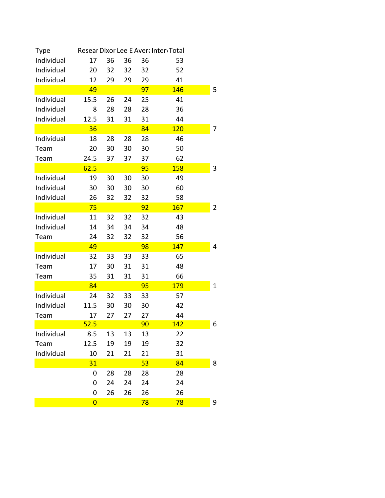| Type       |                |    |    |    | Resear Dixor Lee E Avera Inter Total |   |
|------------|----------------|----|----|----|--------------------------------------|---|
| Individual | 17             | 36 | 36 | 36 | 53                                   |   |
| Individual | 20             | 32 | 32 | 32 | 52                                   |   |
| Individual | 12             | 29 | 29 | 29 | 41                                   |   |
|            | 49             |    |    | 97 | 146                                  | 5 |
| Individual | 15.5           | 26 | 24 | 25 | 41                                   |   |
| Individual | 8              | 28 | 28 | 28 | 36                                   |   |
| Individual | 12.5           | 31 | 31 | 31 | 44                                   |   |
|            | 36             |    |    | 84 | <b>120</b>                           | 7 |
| Individual | 18             | 28 | 28 | 28 | 46                                   |   |
| Team       | 20             | 30 | 30 | 30 | 50                                   |   |
| Team       | 24.5           | 37 | 37 | 37 | 62                                   |   |
|            | 62.5           |    |    | 95 | <b>158</b>                           | 3 |
| Individual | 19             | 30 | 30 | 30 | 49                                   |   |
| Individual | 30             | 30 | 30 | 30 | 60                                   |   |
| Individual | 26             | 32 | 32 | 32 | 58                                   |   |
|            | 75             |    |    | 92 | 167                                  | 2 |
| Individual | 11             | 32 | 32 | 32 | 43                                   |   |
| Individual | 14             | 34 | 34 | 34 | 48                                   |   |
| Team       | 24             | 32 | 32 | 32 | 56                                   |   |
|            | 49             |    |    | 98 | 147                                  | 4 |
| Individual | 32             | 33 | 33 | 33 | 65                                   |   |
| Team       | 17             | 30 | 31 | 31 | 48                                   |   |
| Team       | 35             | 31 | 31 | 31 | 66                                   |   |
|            | 84             |    |    | 95 | <b>179</b>                           | 1 |
| Individual | 24             | 32 | 33 | 33 | 57                                   |   |
| Individual | 11.5           | 30 | 30 | 30 | 42                                   |   |
| Team       | 17             | 27 | 27 | 27 | 44                                   |   |
|            | 52.5           |    |    | 90 | 142                                  | 6 |
| Individual | 8.5            | 13 | 13 | 13 | 22                                   |   |
| Team       | 12.5           | 19 | 19 | 19 | 32                                   |   |
| Individual | 10             | 21 | 21 | 21 | 31                                   |   |
|            | 31             |    |    | 53 | 84                                   | 8 |
|            | 0              | 28 | 28 | 28 | 28                                   |   |
|            | 0              | 24 | 24 | 24 | 24                                   |   |
|            | 0              | 26 | 26 | 26 | 26                                   |   |
|            | $\overline{0}$ |    |    | 78 | 78                                   | 9 |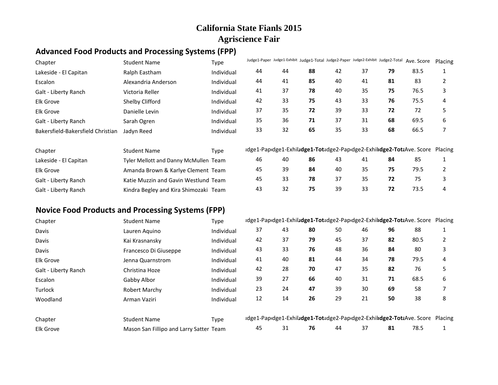#### **Advanced Food Products and Processing Systems (FPP)**

| Chapter                           | <b>Student Name</b>                   | Type       |    | Judge1-Paper Judge1-Exhibit Judge1-Total Judge2-Paper Judge2-Exhibit Judge2-Total Ave. Score |    |    |    |    |                                                                               | Placing |
|-----------------------------------|---------------------------------------|------------|----|----------------------------------------------------------------------------------------------|----|----|----|----|-------------------------------------------------------------------------------|---------|
| Lakeside - El Capitan             | Ralph Eastham                         | Individual | 44 | 44                                                                                           | 88 | 42 | 37 | 79 | 83.5                                                                          |         |
| Escalon                           | Alexandria Anderson                   | Individual | 44 | 41                                                                                           | 85 | 40 | 41 | 81 | 83                                                                            |         |
| Galt - Liberty Ranch              | Victoria Reller                       | Individual | 41 | 37                                                                                           | 78 | 40 | 35 | 75 | 76.5                                                                          | 3       |
| Elk Grove                         | Shelby Clifford                       | Individual | 42 | 33                                                                                           | 75 | 43 | 33 | 76 | 75.5                                                                          | 4       |
| <b>Elk Grove</b>                  | Danielle Levin                        | Individual | 37 | 35                                                                                           | 72 | 39 | 33 | 72 | 72                                                                            | 5       |
| Galt - Liberty Ranch              | Sarah Ogren                           | Individual | 35 | 36                                                                                           | 71 | 37 | 31 | 68 | 69.5                                                                          | 6       |
| Bakersfield-Bakersfield Christian | Jadyn Reed                            | Individual | 33 | 32                                                                                           | 65 | 35 | 33 | 68 | 66.5                                                                          |         |
| Chapter                           | <b>Student Name</b>                   | Type       |    |                                                                                              |    |    |    |    | idge1-Papidge1-Exhiludge1-Totadge2-Papidge2-Exhilidge2-TotaAve. Score Placing |         |
| Lakeside - El Capitan             | Tyler Mellott and Danny McMullen Team |            | 46 | 40                                                                                           | 86 | 43 | 41 | 84 | 85                                                                            |         |
| Elk Grove                         | Amanda Brown & Karlye Clement Team    |            | 45 | 39                                                                                           | 84 | 40 | 35 | 75 | 79.5                                                                          |         |
| Galt - Liberty Ranch              | Katie Muzzin and Gavin Westlund Team  |            | 45 | 33                                                                                           | 78 | 37 | 35 | 72 | 75                                                                            | 3       |
| Galt - Liberty Ranch              | Kindra Begley and Kira Shimozaki Team |            | 43 | 32                                                                                           | 75 | 39 | 33 | 72 | 73.5                                                                          | 4       |

## **Novice Food Products and Processing Systems (FPP)**

| Chapter              | <b>Student Name</b>                     | Type       |    |    |    |    |    |    | Idge1-Papidge1-Exhiludge1-Totadge2-Papidge2-Exhiludge2-TotaAve. Score Placing |   |
|----------------------|-----------------------------------------|------------|----|----|----|----|----|----|-------------------------------------------------------------------------------|---|
| Davis                | Lauren Aguino                           | Individual | 37 | 43 | 80 | 50 | 46 | 96 | 88                                                                            |   |
| Davis                | Kai Krasnansky                          | Individual | 42 | 37 | 79 | 45 | 37 | 82 | 80.5                                                                          |   |
| Davis                | Francesco Di Giuseppe                   | Individual | 43 | 33 | 76 | 48 | 36 | 84 | 80                                                                            |   |
| <b>Elk Grove</b>     | Jenna Quarnstrom                        | Individual | 41 | 40 | 81 | 44 | 34 | 78 | 79.5                                                                          | 4 |
| Galt - Liberty Ranch | Christina Hoze                          | Individual | 42 | 28 | 70 | 47 | 35 | 82 | 76                                                                            |   |
| Escalon              | Gabby Albor                             | Individual | 39 | 27 | 66 | 40 | 31 | 71 | 68.5                                                                          | 6 |
| Turlock              | <b>Robert Marchy</b>                    | Individual | 23 | 24 | 47 | 39 | 30 | 69 | 58                                                                            |   |
| Woodland             | Arman Vaziri                            | Individual | 12 | 14 | 26 | 29 | 21 | 50 | 38                                                                            | 8 |
| Chapter              | <b>Student Name</b>                     | Type       |    |    |    |    |    |    | Idge1-Papidge1-Exhiludge1-Totadge2-Papidge2-Exhiludge2-TotaAve. Score Placing |   |
| <b>Elk Grove</b>     | Mason San Fillipo and Larry Satter Team |            | 45 | 31 | 76 | 44 | 37 | 81 | 78.5                                                                          |   |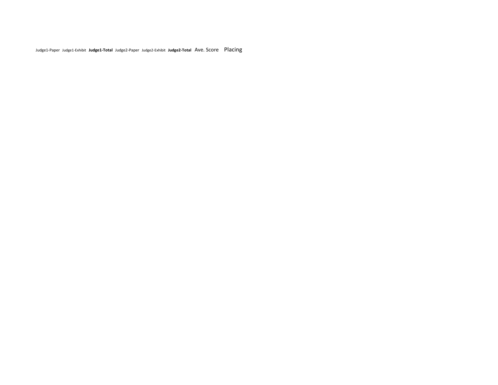Judge1-Paper Judge1-Exhibit **Judge1-Total** Judge2-Paper Judge2-Exhibit **Judge2-Total** Ave. Score Placing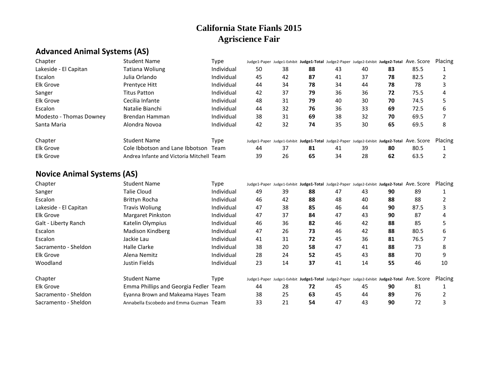# **Advanced Animal Systems (AS)**

| Chapter                 | <b>Student Name</b>                       | Type       |    |    |    |    |    |    | Judge1-Paper Judge1-Exhibit Judge1-Total Judge2-Paper Judge2-Exhibit Judge2-Total AVe. Score | Placing |
|-------------------------|-------------------------------------------|------------|----|----|----|----|----|----|----------------------------------------------------------------------------------------------|---------|
| Lakeside - El Capitan   | Tatiana Woliung                           | Individual | 50 | 38 | 88 | 43 | 40 | 83 | 85.5                                                                                         |         |
| Escalon                 | Julia Orlando                             | Individual | 45 | 42 | 87 | 41 | 37 | 78 | 82.5                                                                                         |         |
| <b>Elk Grove</b>        | Prentyce Hitt                             | Individual | 44 | 34 | 78 | 34 | 44 | 78 | 78                                                                                           |         |
| Sanger                  | <b>Titus Patton</b>                       | Individual | 42 | 37 | 79 | 36 | 36 | 72 | 75.5                                                                                         |         |
| <b>Elk Grove</b>        | Cecilia Infante                           | Individual | 48 | 31 | 79 | 40 | 30 | 70 | 74.5                                                                                         |         |
| Escalon                 | Natalie Bianchi                           | Individual | 44 | 32 | 76 | 36 | 33 | 69 | 72.5                                                                                         | h       |
| Modesto - Thomas Downey | Brendan Hamman                            | Individual | 38 | 31 | 69 | 38 | 32 | 70 | 69.5                                                                                         |         |
| Santa Maria             | Alondra Novoa                             | Individual | 42 | 32 | 74 | 35 | 30 | 65 | 69.5                                                                                         | 8       |
| Chapter                 | Student Name                              | Type       |    |    |    |    |    |    | Judge1-Paper Judge1-Exhibit Judge1-Total Judge2-Paper Judge2-Exhibit Judge2-Total AVe. SCOre | Placing |
| <b>Elk Grove</b>        | Cole Ibbotson and Lane Ibbotson           | Team       | 44 | 37 | 81 | 41 | 39 | 80 | 80.5                                                                                         |         |
| <b>Elk Grove</b>        | Andrea Infante and Victoria Mitchell Team |            | 39 | 26 | 65 | 34 | 28 | 62 | 63.5                                                                                         |         |
|                         |                                           |            |    |    |    |    |    |    |                                                                                              |         |

# **Novice Animal Systems (AS)**

| Chapter               | <b>Student Name</b>                     | Type       |    |    |    |    |    | Judge1-Paper Judge1-Exhibit Judge1-Total Judge2-Paper Judge2-Exhibit Judge2-Total AVe. SCOre |      | Placing |
|-----------------------|-----------------------------------------|------------|----|----|----|----|----|----------------------------------------------------------------------------------------------|------|---------|
| Sanger                | Talie Cloud                             | Individual | 49 | 39 | 88 | 47 | 43 | 90                                                                                           | 89   |         |
| Escalon               | Brittyn Rocha                           | Individual | 46 | 42 | 88 | 48 | 40 | 88                                                                                           | 88   |         |
| Lakeside - El Capitan | <b>Travis Woliung</b>                   | Individual | 47 | 38 | 85 | 46 | 44 | 90                                                                                           | 87.5 |         |
| Elk Grove             | Margaret Pinkston                       | Individual | 47 | 37 | 84 | 47 | 43 | 90                                                                                           | 87   |         |
| Galt - Liberty Ranch  | Katelin Olympius                        | Individual | 46 | 36 | 82 | 46 | 42 | 88                                                                                           | 85   |         |
| Escalon               | Madison Kindberg                        | Individual | 47 | 26 | 73 | 46 | 42 | 88                                                                                           | 80.5 | 6       |
| Escalon               | Jackie Lau                              | Individual | 41 | 31 | 72 | 45 | 36 | 81                                                                                           | 76.5 |         |
| Sacramento - Sheldon  | Halle Clarke                            | Individual | 38 | 20 | 58 | 47 | 41 | 88                                                                                           | 73   | 8       |
| <b>Elk Grove</b>      | Alena Nemitz                            | Individual | 28 | 24 | 52 | 45 | 43 | 88                                                                                           | 70   | q       |
| Woodland              | Justin Fields                           | Individual | 23 | 14 | 37 | 41 | 14 | 55                                                                                           | 46   | 10      |
| Chapter               | Student Name                            | Type       |    |    |    |    |    | Judge1-Paper Judge1-Exhibit Judge1-Total Judge2-Paper Judge2-Exhibit Judge2-Total AVe. Score |      | Placing |
| <b>Elk Grove</b>      | Emma Phillips and Georgia Fedler Team   |            | 44 | 28 | 72 | 45 | 45 | 90                                                                                           | 81   |         |
| Sacramento - Sheldon  | Eyanna Brown and Makeama Hayes Team     |            | 38 | 25 | 63 | 45 | 44 | 89                                                                                           | 76   |         |
| Sacramento - Sheldon  | Annabella Escobedo and Emma Guzman Team |            | 33 | 21 | 54 | 47 | 43 | 90                                                                                           | 72   |         |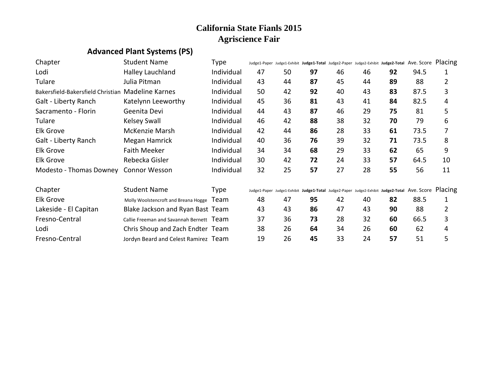# **Advanced Plant Systems (PS)**

| Chapter                                           | <b>Student Name</b>                      | Type        |    | Judge1-Paper Judge1-Exhibit Judge1-Total Judge2-Paper Judge2-Exhibit Judge2-Total AVe. Score Placing |    |    |    |    |      |                |
|---------------------------------------------------|------------------------------------------|-------------|----|------------------------------------------------------------------------------------------------------|----|----|----|----|------|----------------|
| Lodi                                              | Halley Lauchland                         | Individual  | 47 | 50                                                                                                   | 97 | 46 | 46 | 92 | 94.5 | 1              |
| Tulare                                            | Julia Pitman                             | Individual  | 43 | 44                                                                                                   | 87 | 45 | 44 | 89 | 88   | $\overline{2}$ |
| Bakersfield-Bakersfield Christian Madeline Karnes |                                          | Individual  | 50 | 42                                                                                                   | 92 | 40 | 43 | 83 | 87.5 | 3              |
| Galt - Liberty Ranch                              | Katelynn Leeworthy                       | Individual  | 45 | 36                                                                                                   | 81 | 43 | 41 | 84 | 82.5 | 4              |
| Sacramento - Florin                               | Geenita Devi                             | Individual  | 44 | 43                                                                                                   | 87 | 46 | 29 | 75 | 81   | 5              |
| Tulare                                            | <b>Kelsey Swall</b>                      | Individual  | 46 | 42                                                                                                   | 88 | 38 | 32 | 70 | 79   | 6              |
| <b>Elk Grove</b>                                  | McKenzie Marsh                           | Individual  | 42 | 44                                                                                                   | 86 | 28 | 33 | 61 | 73.5 |                |
| Galt - Liberty Ranch                              | Megan Hamrick                            | Individual  | 40 | 36                                                                                                   | 76 | 39 | 32 | 71 | 73.5 | 8              |
| <b>Elk Grove</b>                                  | <b>Faith Meeker</b>                      | Individual  | 34 | 34                                                                                                   | 68 | 29 | 33 | 62 | 65   | 9              |
| <b>Elk Grove</b>                                  | Rebecka Gisler                           | Individual  | 30 | 42                                                                                                   | 72 | 24 | 33 | 57 | 64.5 | 10             |
| Modesto - Thomas Downey                           | <b>Connor Wesson</b>                     | Individual  | 32 | 25                                                                                                   | 57 | 27 | 28 | 55 | 56   | 11             |
| Chapter                                           | <b>Student Name</b>                      | <b>Type</b> |    | Judge1-Paper Judge1-Exhibit Judge1-Total Judge2-Paper Judge2-Exhibit Judge2-Total Ave. Score Placing |    |    |    |    |      |                |
| <b>Elk Grove</b>                                  | Molly Woolstencroft and Breana Hogge     | Team        | 48 | 47                                                                                                   | 95 | 42 | 40 | 82 | 88.5 | 1              |
| Lakeside - El Capitan                             | Blake Jackson and Ryan Bast Team         |             | 43 | 43                                                                                                   | 86 | 47 | 43 | 90 | 88   | $\overline{2}$ |
| Fresno-Central                                    | Callie Freeman and Savannah Bernett Team |             | 37 | 36                                                                                                   | 73 | 28 | 32 | 60 | 66.5 | 3              |
| Lodi                                              | Chris Shoup and Zach Endter Team         |             | 38 | 26                                                                                                   | 64 | 34 | 26 | 60 | 62   | 4              |
| Fresno-Central                                    | Jordyn Beard and Celest Ramirez Team     |             | 19 | 26                                                                                                   | 45 | 33 | 24 | 57 | 51   | 5              |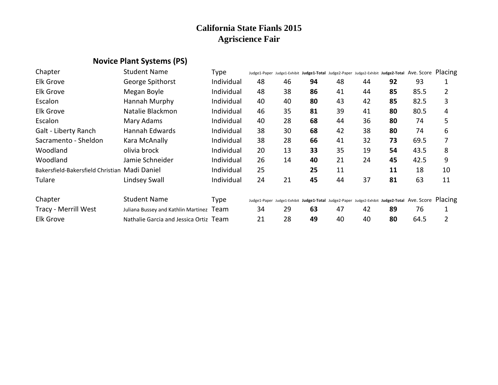# **Novice Plant Systems (PS)**

| Chapter                                       | <b>Student Name</b>                      | Type        |    | Judge1-Paper Judge1-Exhibit Judge1-Total Judge2-Paper Judge2-Exhibit Judge2-Total AVe. Score Placing |    |    |    |    |      |    |
|-----------------------------------------------|------------------------------------------|-------------|----|------------------------------------------------------------------------------------------------------|----|----|----|----|------|----|
| <b>Elk Grove</b>                              | George Spithorst                         | Individual  | 48 | 46                                                                                                   | 94 | 48 | 44 | 92 | 93   |    |
| <b>Elk Grove</b>                              | Megan Boyle                              | Individual  | 48 | 38                                                                                                   | 86 | 41 | 44 | 85 | 85.5 | 2  |
| Escalon                                       | Hannah Murphy                            | Individual  | 40 | 40                                                                                                   | 80 | 43 | 42 | 85 | 82.5 | 3  |
| <b>Elk Grove</b>                              | Natalie Blackmon                         | Individual  | 46 | 35                                                                                                   | 81 | 39 | 41 | 80 | 80.5 | 4  |
| Escalon                                       | Mary Adams                               | Individual  | 40 | 28                                                                                                   | 68 | 44 | 36 | 80 | 74   | 5  |
| Galt - Liberty Ranch                          | Hannah Edwards                           | Individual  | 38 | 30                                                                                                   | 68 | 42 | 38 | 80 | 74   | 6  |
| Sacramento - Sheldon                          | Kara McAnally                            | Individual  | 38 | 28                                                                                                   | 66 | 41 | 32 | 73 | 69.5 | 7  |
| Woodland                                      | olivia brock                             | Individual  | 20 | 13                                                                                                   | 33 | 35 | 19 | 54 | 43.5 | 8  |
| Woodland                                      | Jamie Schneider                          | Individual  | 26 | 14                                                                                                   | 40 | 21 | 24 | 45 | 42.5 | 9  |
| Bakersfield-Bakersfield Christian Madi Daniel |                                          | Individual  | 25 |                                                                                                      | 25 | 11 |    | 11 | 18   | 10 |
| Tulare                                        | Lindsey Swall                            | Individual  | 24 | 21                                                                                                   | 45 | 44 | 37 | 81 | 63   | 11 |
| Chapter                                       | <b>Student Name</b>                      | <b>Type</b> |    | Judge1-Paper Judge1-Exhibit Judge1-Total Judge2-Paper Judge2-Exhibit Judge2-Total AVe. Score Placing |    |    |    |    |      |    |
| Tracy - Merrill West                          | Juliana Bussey and Kathlin Martinez Team |             | 34 | 29                                                                                                   | 63 | 47 | 42 | 89 | 76   |    |
| <b>Elk Grove</b>                              | Nathalie Garcia and Jessica Ortiz Team   |             | 21 | 28                                                                                                   | 49 | 40 | 40 | 80 | 64.5 | 2  |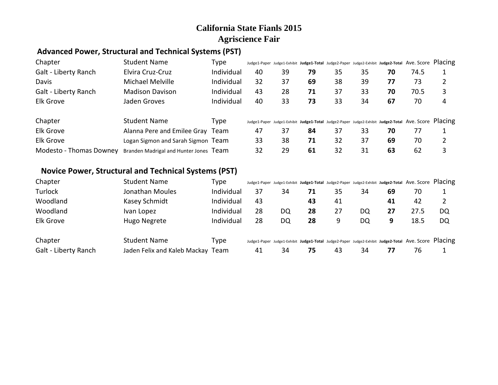#### **Advanced Power, Structural and Technical Systems (PST)**

| Chapter                     | <b>Student Name</b>                    | Type       |    |    |    |    |    |    | Judge1-Paper Judge1-Exhibit Judge1-Total Judge2-Paper Judge2-Exhibit Judge2-Total Ave. Score Placing |   |
|-----------------------------|----------------------------------------|------------|----|----|----|----|----|----|------------------------------------------------------------------------------------------------------|---|
| Galt - Liberty Ranch        | Elvira Cruz-Cruz                       | Individual | 40 | 39 | 79 | 35 | 35 | 70 | 74.5                                                                                                 |   |
| Davis                       | Michael Melville                       | Individual | 32 | 37 | 69 | 38 | 39 | 77 | 73                                                                                                   |   |
| <b>Galt - Liberty Ranch</b> | <b>Madison Davison</b>                 | Individual | 43 | 28 | 71 | 37 | 33 | 70 | 70.5                                                                                                 | 3 |
| Elk Grove                   | Jaden Groves                           | Individual | 40 | 33 | 73 | 33 | 34 | 67 | 70                                                                                                   | 4 |
| Chapter                     | <b>Student Name</b>                    | Type       |    |    |    |    |    |    | Judge1-Paper Judge1-Exhibit Judge1-Total Judge2-Paper Judge2-Exhibit Judge2-Total Ave. Score Placing |   |
| <b>Elk Grove</b>            | Alanna Pere and Emilee Gray Team       |            | 47 | 37 | 84 | 37 | 33 | 70 | 77                                                                                                   |   |
| Elk Grove                   | Logan Sigmon and Sarah Sigmon Team     |            | 33 | 38 | 71 | 32 | 37 | 69 | 70                                                                                                   | 2 |
| Modesto - Thomas Downey     | Branden Madrigal and Hunter Jones Team |            | 32 | 29 | 61 | 32 | 31 | 63 | 62                                                                                                   | 3 |

#### **Novice Power, Structural and Technical Systems (PST)**

| Chapter              | <b>Student Name</b>               | Type       |    |    |    |    |    |    | Judge1-Paper Judge1-Exhibit Judge1-Total Judge2-Paper Judge2-Exhibit Judge2-Total Ave. Score Placing |    |
|----------------------|-----------------------------------|------------|----|----|----|----|----|----|------------------------------------------------------------------------------------------------------|----|
| Turlock              | Jonathan Moules                   | Individual | 37 | 34 |    | 35 | 34 | 69 | 70                                                                                                   |    |
| Woodland             | Kasey Schmidt                     | Individual | 43 |    | 43 | 41 |    | 41 | 42                                                                                                   |    |
| Woodland             | Ivan Lopez                        | Individual | 28 | DQ | 28 | 27 | DQ | 27 | 27.5                                                                                                 | DQ |
| <b>Elk Grove</b>     | Hugo Negrete                      | Individual | 28 | DQ | 28 | 9  | DQ | 9  | 18.5                                                                                                 | DQ |
| Chapter              | <b>Student Name</b>               | Type       |    |    |    |    |    |    | Judge1-Paper Judge1-Exhibit Judge1-Total Judge2-Paper Judge2-Exhibit Judge2-Total Ave. Score Placing |    |
| Galt - Liberty Ranch | Jaden Felix and Kaleb Mackay Team |            | 41 | 34 | 75 | 43 | 34 | 77 | 76                                                                                                   |    |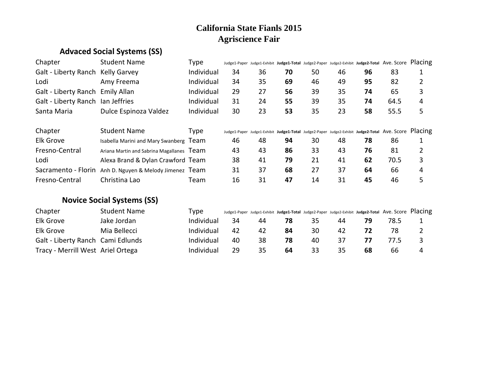# **Advaced Social Systems (SS)**

| Chapter                           | <b>Student Name</b>   | Type       | Judge1-Paper Judge1-Exhibit Judge1-Total Judge2-Paper Judge2-Exhibit Judge2-Total Ave. Score Placing |    |    |    |    |    |      |   |
|-----------------------------------|-----------------------|------------|------------------------------------------------------------------------------------------------------|----|----|----|----|----|------|---|
| Galt - Liberty Ranch Kelly Garvey |                       | Individual | 34                                                                                                   | 36 | 70 | 50 | 46 | 96 | 83   |   |
| Lodi                              | Amy Freema            | Individual | 34                                                                                                   | 35 | 69 | 46 | 49 | 95 | 82   |   |
| Galt - Liberty Ranch Emily Allan  |                       | Individual | 29                                                                                                   | 27 | 56 | 39 | 35 | 74 | 65   |   |
| Galt - Liberty Ranch Ian Jeffries |                       | Individual | 31                                                                                                   | 24 | 55 | 39 | 35 | 74 | 64.5 | 4 |
| Santa Maria                       | Dulce Espinoza Valdez | Individual | 30                                                                                                   | 23 | 53 | 35 | 23 | 58 | 55.5 |   |

| Chapter        | <b>Student Name</b>                                     | Type | Judge1-Paper Judge1-Exhibit Judge1-Total Judge2-Paper Judge2-Exhibit Judge2-Total Ave. Score Placing |    |    |    |    |    |      |   |
|----------------|---------------------------------------------------------|------|------------------------------------------------------------------------------------------------------|----|----|----|----|----|------|---|
| Elk Grove      | Isabella Marini and Mary Swanberg Team                  |      | 46                                                                                                   | 48 | 94 | 30 | 48 | 78 | 86   |   |
| Fresno-Central | Ariana Martin and Sabrina Magallanes Team               |      | 43                                                                                                   | 43 | 86 | 33 | 43 | 76 | 81   |   |
| Lodi           | Alexa Brand & Dylan Crawford Team                       |      | 38                                                                                                   | 41 | 79 | 21 | 41 | 62 | 70.5 |   |
|                | Sacramento - Florin Anh D. Nguyen & Melody Jimenez Team |      | 31                                                                                                   | 37 | 68 | 27 | 37 | 64 | 66   | 4 |
| Fresno-Central | Christina Lao                                           | Team | 16                                                                                                   | 31 | 47 | 14 | 31 | 45 | 46   |   |

## **Novice Social Systems (SS)**

| Chapter                           | <b>Student Name</b> | Type       |    |    |     |    |     |    | Judge1-Paper Judge1-Exhibit Judge1-Total Judge2-Paper Judge2-Exhibit Judge2-Total Ave. Score Placing |   |
|-----------------------------------|---------------------|------------|----|----|-----|----|-----|----|------------------------------------------------------------------------------------------------------|---|
| Elk Grove                         | Jake Jordan         | Individual | 34 | 44 | 78  | 35 | 44  | 79 | 78.5                                                                                                 |   |
| Elk Grove                         | Mia Bellecci        | Individual | 42 | 42 | -84 | 30 | 42  |    | 78                                                                                                   |   |
| Galt - Liberty Ranch Cami Edlunds |                     | Individual | 40 | 38 | 78  | 40 | -37 |    | 77.5                                                                                                 |   |
| Tracy - Merrill West Ariel Ortega |                     | Individual | 29 | 35 | 64  | 33 | 35  | 68 | 66                                                                                                   | 4 |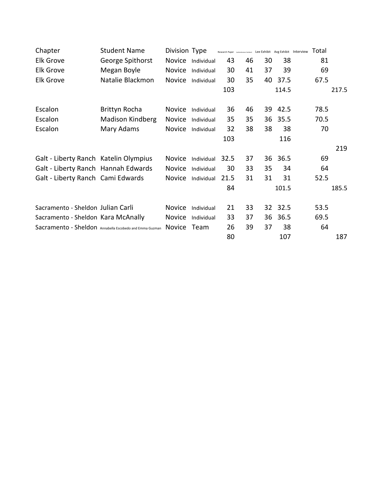| <b>Student Name</b>                   |               |                                                                |                                                                                                                                |                                                                                                |                                        |                |                                        |                                                                                                                                                   |
|---------------------------------------|---------------|----------------------------------------------------------------|--------------------------------------------------------------------------------------------------------------------------------|------------------------------------------------------------------------------------------------|----------------------------------------|----------------|----------------------------------------|---------------------------------------------------------------------------------------------------------------------------------------------------|
| George Spithorst                      |               |                                                                | 43                                                                                                                             |                                                                                                |                                        | 38             | 81                                     |                                                                                                                                                   |
| Megan Boyle                           |               |                                                                | 30                                                                                                                             |                                                                                                | 37                                     | 39             | 69                                     |                                                                                                                                                   |
| Natalie Blackmon                      |               |                                                                | 30                                                                                                                             |                                                                                                |                                        | 37.5           | 67.5                                   |                                                                                                                                                   |
|                                       |               |                                                                | 103                                                                                                                            |                                                                                                |                                        | 114.5          |                                        | 217.5                                                                                                                                             |
| Brittyn Rocha                         |               |                                                                | 36                                                                                                                             |                                                                                                |                                        | 42.5           |                                        |                                                                                                                                                   |
| Madison Kindberg                      |               |                                                                | 35                                                                                                                             |                                                                                                |                                        | 35.5           |                                        |                                                                                                                                                   |
| Mary Adams                            |               |                                                                | 32                                                                                                                             |                                                                                                |                                        | 38             |                                        |                                                                                                                                                   |
|                                       |               |                                                                | 103                                                                                                                            |                                                                                                |                                        | 116            |                                        |                                                                                                                                                   |
|                                       |               |                                                                |                                                                                                                                |                                                                                                |                                        |                |                                        | 219                                                                                                                                               |
| Galt - Liberty Ranch Katelin Olympius | <b>Novice</b> |                                                                | 32.5                                                                                                                           |                                                                                                |                                        | 36.5           | 69                                     |                                                                                                                                                   |
| Galt - Liberty Ranch Hannah Edwards   | Novice        |                                                                | 30                                                                                                                             |                                                                                                | 35                                     |                |                                        |                                                                                                                                                   |
| Galt - Liberty Ranch Cami Edwards     |               |                                                                | 21.5                                                                                                                           | 31                                                                                             | 31                                     | 31             | 52.5                                   |                                                                                                                                                   |
|                                       |               |                                                                | 84                                                                                                                             |                                                                                                |                                        | 101.5          |                                        | 185.5                                                                                                                                             |
| Sacramento - Sheldon Julian Carli     | Novice        |                                                                | 21                                                                                                                             |                                                                                                |                                        |                |                                        |                                                                                                                                                   |
| Sacramento - Sheldon Kara McAnally    | Novice        |                                                                | 33                                                                                                                             | 37                                                                                             |                                        | 36.5           |                                        |                                                                                                                                                   |
|                                       |               |                                                                | 26                                                                                                                             |                                                                                                | 37                                     | 38             | 64                                     |                                                                                                                                                   |
|                                       |               |                                                                | 80                                                                                                                             |                                                                                                |                                        | 107            |                                        | 187                                                                                                                                               |
|                                       |               | Sacramento - Sheldon Annabella Escobedo and Emma Guzman Novice | Division Type<br>Novice Individual<br>Novice Individual<br>Novice Individual<br>Individual<br>Individual<br>Individual<br>Team | Novice Individual<br>Novice Individual<br>Novice Individual<br>Individual<br>Novice Individual | 41<br>35<br>35<br>37<br>33<br>33<br>39 | 46<br>46<br>38 | 30<br>40<br>39<br>36<br>38<br>36<br>36 | Research Paper Authenbrear Exhibalt Lee Exhibit Avg Exhibit Interview $\text{Total}$<br>78.5<br>70.5<br>70<br>34<br>64<br>32 32.5<br>53.5<br>69.5 |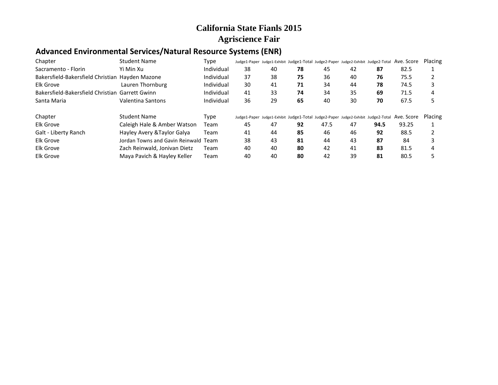## **Advanced Environmental Services/Natural Resource Systems (ENR)**

| Chapter                                         | Student Name                         | Type       |    |    | Judge1-Paper Judge1-Exhibit Judge1-Total Judge2-Paper Judge2-Exhibit Judge2-Total |      |    |      | Ave. Score | Placing |
|-------------------------------------------------|--------------------------------------|------------|----|----|-----------------------------------------------------------------------------------|------|----|------|------------|---------|
| Sacramento - Florin                             | Yi Min Xu                            | Individual | 38 | 40 | 78                                                                                | 45   | 42 | 87   | 82.5       |         |
| Bakersfield-Bakersfield Christian Hayden Mazone |                                      | Individual | 37 | 38 | 75                                                                                | 36   | 40 | 76   | 75.5       |         |
| Elk Grove                                       | Lauren Thornburg                     | Individual | 30 | 41 | 71                                                                                | 34   | 44 | 78   | 74.5       |         |
| Bakersfield-Bakersfield Christian Garrett Gwinn |                                      | Individual | 41 | 33 | 74                                                                                | 34   | 35 | 69   | 71.5       | 4       |
| Santa Maria                                     | Valentina Santons                    | Individual | 36 | 29 | 65                                                                                | 40   | 30 | 70   | 67.5       |         |
| Chapter                                         | Student Name                         | Type       |    |    | Judge1-Paper Judge1-Exhibit Judge1-Total Judge2-Paper Judge2-Exhibit Judge2-Total |      |    |      | Ave. Score | Placing |
| Elk Grove                                       | Caleigh Hale & Amber Watson          | Team       | 45 | 47 | 92                                                                                | 47.5 | 47 | 94.5 | 93.25      |         |
| Galt - Liberty Ranch                            | Hayley Avery & Taylor Galya          | Team       | 41 | 44 | 85                                                                                | 46   | 46 | 92   | 88.5       |         |
| Elk Grove                                       | Jordan Towns and Gavin Reinwald Team |            | 38 | 43 | 81                                                                                | 44   | 43 | 87   | 84         |         |
| Elk Grove                                       | Zach Reinwald, Jonivan Dietz         | Team       | 40 | 40 | 80                                                                                | 42   | 41 | 83   | 81.5       |         |
| <b>Elk Grove</b>                                | Maya Pavich & Hayley Keller          | Team       | 40 | 40 | 80                                                                                | 42   | 39 | 81   | 80.5       |         |